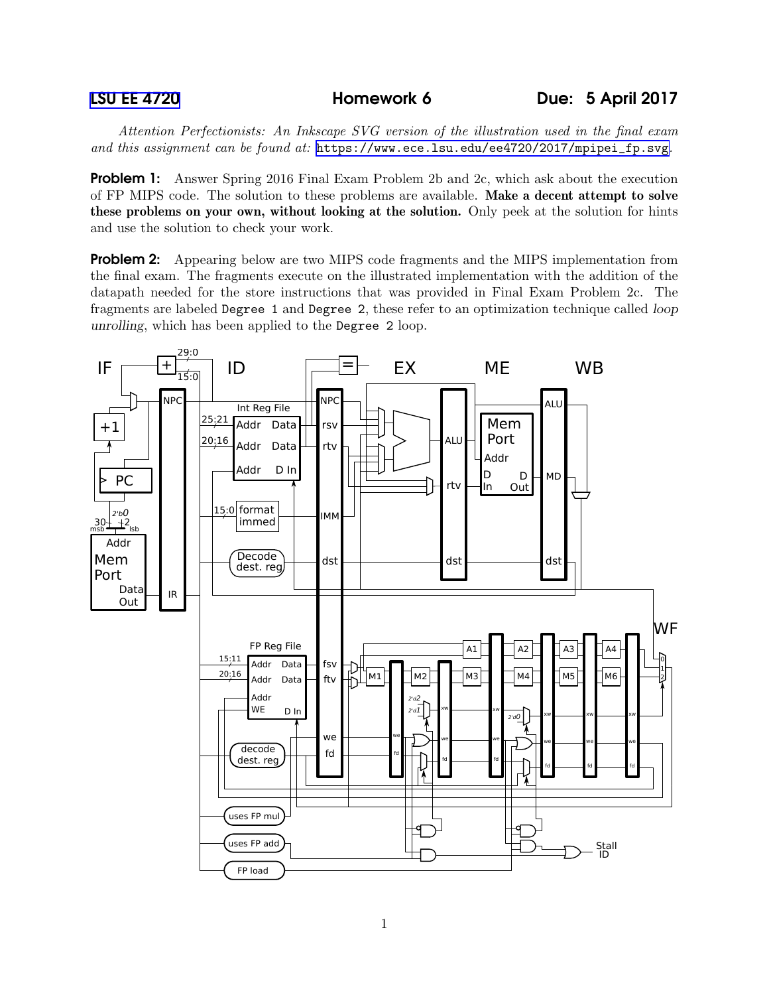*Attention Perfectionists: An Inkscape SVG version of the illustration used in the final exam and this assignment can be found at:* [https://www.ece.lsu.edu/ee4720/2017/mpipei\\_fp.svg](https://www.ece.lsu.edu/ee4720/2017/mpipei_fp.svg)*.*

**Problem 1:** Answer Spring 2016 Final Exam Problem 2b and 2c, which ask about the execution of FP MIPS code. The solution to these problems are available. Make a decent attempt to solve these problems on your own, without looking at the solution. Only peek at the solution for hints and use the solution to check your work.

**Problem 2:** Appearing below are two MIPS code fragments and the MIPS implementation from the final exam. The fragments execute on the illustrated implementation with the addition of the datapath needed for the store instructions that was provided in Final Exam Problem 2c. The fragments are labeled Degree 1 and Degree 2, these refer to an optimization technique called loop unrolling, which has been applied to the Degree 2 loop.